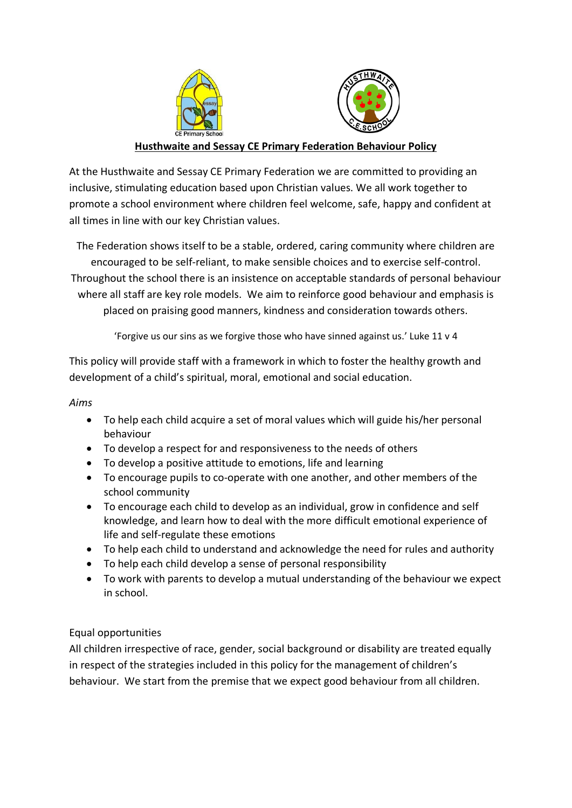

# **Husthwaite and Sessay CE Primary Federation Behaviour Policy**

At the Husthwaite and Sessay CE Primary Federation we are committed to providing an inclusive, stimulating education based upon Christian values. We all work together to promote a school environment where children feel welcome, safe, happy and confident at all times in line with our key Christian values.

The Federation shows itself to be a stable, ordered, caring community where children are encouraged to be self-reliant, to make sensible choices and to exercise self-control. Throughout the school there is an insistence on acceptable standards of personal behaviour where all staff are key role models. We aim to reinforce good behaviour and emphasis is placed on praising good manners, kindness and consideration towards others.

'Forgive us our sins as we forgive those who have sinned against us.' Luke 11 v 4

This policy will provide staff with a framework in which to foster the healthy growth and development of a child's spiritual, moral, emotional and social education.

### *Aims*

- To help each child acquire a set of moral values which will guide his/her personal behaviour
- To develop a respect for and responsiveness to the needs of others
- To develop a positive attitude to emotions, life and learning
- To encourage pupils to co-operate with one another, and other members of the school community
- To encourage each child to develop as an individual, grow in confidence and self knowledge, and learn how to deal with the more difficult emotional experience of life and self-regulate these emotions
- To help each child to understand and acknowledge the need for rules and authority
- To help each child develop a sense of personal responsibility
- To work with parents to develop a mutual understanding of the behaviour we expect in school.

# Equal opportunities

All children irrespective of race, gender, social background or disability are treated equally in respect of the strategies included in this policy for the management of children's behaviour. We start from the premise that we expect good behaviour from all children.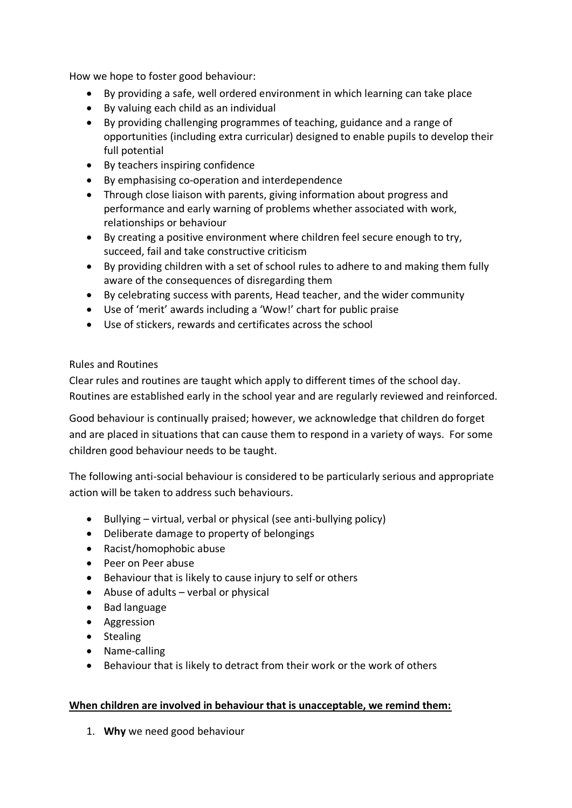How we hope to foster good behaviour:

- By providing a safe, well ordered environment in which learning can take place
- By valuing each child as an individual
- By providing challenging programmes of teaching, guidance and a range of opportunities (including extra curricular) designed to enable pupils to develop their full potential
- By teachers inspiring confidence
- By emphasising co-operation and interdependence
- Through close liaison with parents, giving information about progress and performance and early warning of problems whether associated with work, relationships or behaviour
- By creating a positive environment where children feel secure enough to try, succeed, fail and take constructive criticism
- By providing children with a set of school rules to adhere to and making them fully aware of the consequences of disregarding them
- By celebrating success with parents, Head teacher, and the wider community
- Use of 'merit' awards including a 'Wow!' chart for public praise
- Use of stickers, rewards and certificates across the school

## Rules and Routines

Clear rules and routines are taught which apply to different times of the school day. Routines are established early in the school year and are regularly reviewed and reinforced.

Good behaviour is continually praised; however, we acknowledge that children do forget and are placed in situations that can cause them to respond in a variety of ways. For some children good behaviour needs to be taught.

The following anti-social behaviour is considered to be particularly serious and appropriate action will be taken to address such behaviours.

- Bullying virtual, verbal or physical (see anti-bullying policy)
- Deliberate damage to property of belongings
- Racist/homophobic abuse
- Peer on Peer abuse
- Behaviour that is likely to cause injury to self or others
- Abuse of adults verbal or physical
- Bad language
- Aggression
- Stealing
- Name-calling
- Behaviour that is likely to detract from their work or the work of others

#### **When children are involved in behaviour that is unacceptable, we remind them:**

1. **Why** we need good behaviour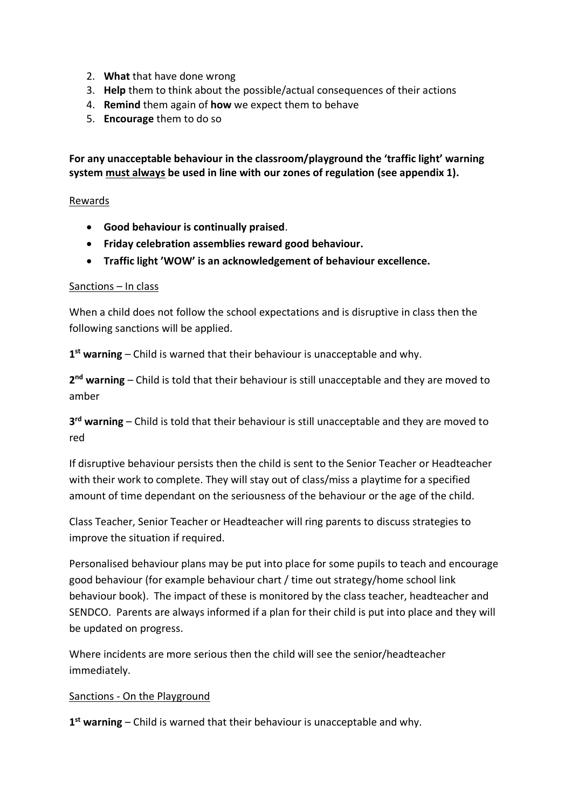- 2. **What** that have done wrong
- 3. **Help** them to think about the possible/actual consequences of their actions
- 4. **Remind** them again of **how** we expect them to behave
- 5. **Encourage** them to do so

**For any unacceptable behaviour in the classroom/playground the 'traffic light' warning system must always be used in line with our zones of regulation (see appendix 1).** 

### Rewards

- **Good behaviour is continually praised**.
- **Friday celebration assemblies reward good behaviour.**
- **Traffic light 'WOW' is an acknowledgement of behaviour excellence.**

#### Sanctions – In class

When a child does not follow the school expectations and is disruptive in class then the following sanctions will be applied.

**1 st warning** – Child is warned that their behaviour is unacceptable and why.

**2 nd warning** – Child is told that their behaviour is still unacceptable and they are moved to amber

**3 rd warning** – Child is told that their behaviour is still unacceptable and they are moved to red

If disruptive behaviour persists then the child is sent to the Senior Teacher or Headteacher with their work to complete. They will stay out of class/miss a playtime for a specified amount of time dependant on the seriousness of the behaviour or the age of the child.

Class Teacher, Senior Teacher or Headteacher will ring parents to discuss strategies to improve the situation if required.

Personalised behaviour plans may be put into place for some pupils to teach and encourage good behaviour (for example behaviour chart / time out strategy/home school link behaviour book). The impact of these is monitored by the class teacher, headteacher and SENDCO. Parents are always informed if a plan for their child is put into place and they will be updated on progress.

Where incidents are more serious then the child will see the senior/headteacher immediately.

#### Sanctions - On the Playground

**1 st warning** – Child is warned that their behaviour is unacceptable and why.